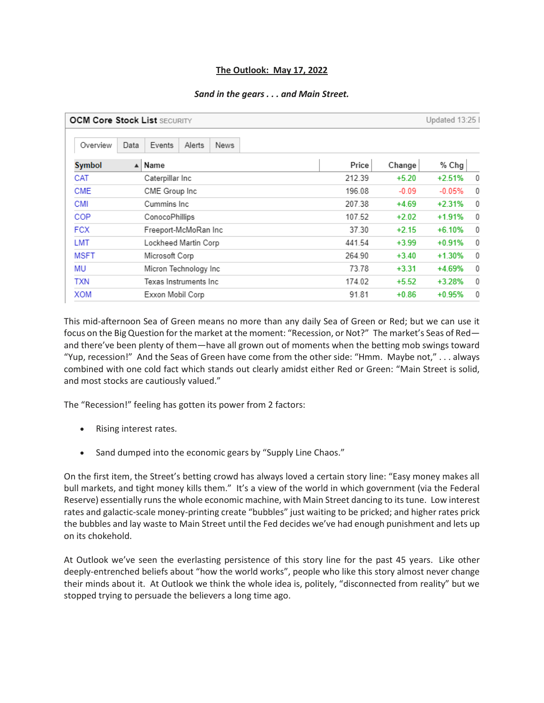## **The Outlook: May 17, 2022**

## *Sand in the gears . . . and Main Street.*

| <b>OCM Core Stock List SECURITY</b> |      |                                 |        |         | Updated 13:25 |            |
|-------------------------------------|------|---------------------------------|--------|---------|---------------|------------|
| Overview                            | Data | Events<br>Alerts<br><b>News</b> |        |         |               |            |
| Symbol                              |      | $\blacktriangle$ Name           | Price  | Change  | % Chg         |            |
| CAT                                 |      | Caterpillar Inc                 | 212.39 | $+5.20$ | $+2.51%$      | 0          |
| <b>CME</b>                          |      | CME Group Inc                   | 196.08 | $-0.09$ | $-0.05%$      | $^{\circ}$ |
| <b>CMI</b>                          |      | Cummins Inc.                    | 207.38 | $+4.69$ | $+2.31%$      | 0          |
| COP                                 |      | ConocoPhillips                  | 107.52 | $+2.02$ | $+1.91%$      | $^{\circ}$ |
| <b>FCX</b>                          |      | Freeport-McMoRan Inc            | 37.30  | $+2.15$ | $+6.10%$      | 0          |
| LMT                                 |      | Lockheed Martin Corp            | 441.54 | $+3.99$ | $+0.91%$      | 0          |
| MSFT                                |      | Microsoft Corp                  | 264.90 | $+3.40$ | $+1.30%$      | $^{\circ}$ |
| MU                                  |      | Micron Technology Inc           | 73.78  | $+3.31$ | +4.69%        | $\theta$   |
| TXN                                 |      | Texas Instruments Inc           | 174.02 | $+5.52$ | +3.28%        | $^{\circ}$ |
| <b>XOM</b>                          |      | Exxon Mobil Corp                | 91.81  | $+0.86$ | $+0.95%$      | $^{\circ}$ |

This mid-afternoon Sea of Green means no more than any daily Sea of Green or Red; but we can use it focus on the Big Question for the market at the moment: "Recession, or Not?" The market's Seas of Red and there've been plenty of them—have all grown out of moments when the betting mob swings toward "Yup, recession!" And the Seas of Green have come from the other side: "Hmm. Maybe not," . . . always combined with one cold fact which stands out clearly amidst either Red or Green: "Main Street is solid, and most stocks are cautiously valued."

The "Recession!" feeling has gotten its power from 2 factors:

- Rising interest rates.
- Sand dumped into the economic gears by "Supply Line Chaos."

On the first item, the Street's betting crowd has always loved a certain story line: "Easy money makes all bull markets, and tight money kills them." It's a view of the world in which government (via the Federal Reserve) essentially runs the whole economic machine, with Main Street dancing to its tune. Low interest rates and galactic-scale money-printing create "bubbles" just waiting to be pricked; and higher rates prick the bubbles and lay waste to Main Street until the Fed decides we've had enough punishment and lets up on its chokehold.

At Outlook we've seen the everlasting persistence of this story line for the past 45 years. Like other deeply-entrenched beliefs about "how the world works", people who like this story almost never change their minds about it. At Outlook we think the whole idea is, politely, "disconnected from reality" but we stopped trying to persuade the believers a long time ago.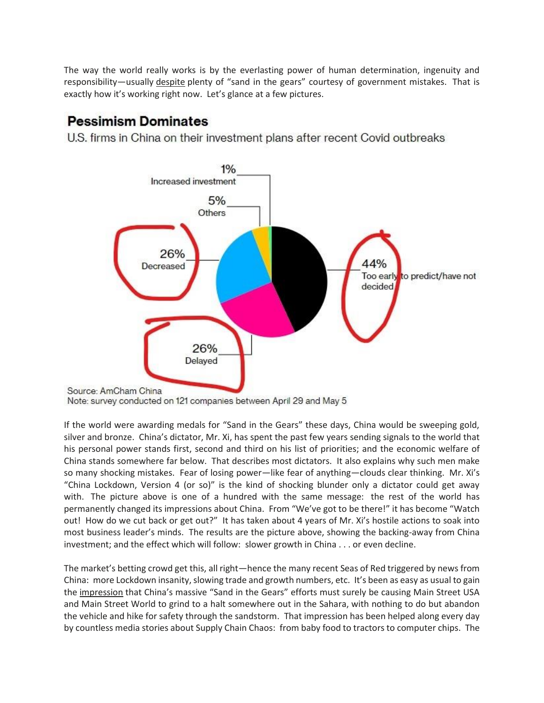The way the world really works is by the everlasting power of human determination, ingenuity and responsibility—usually despite plenty of "sand in the gears" courtesy of government mistakes. That is exactly how it's working right now. Let's glance at a few pictures.

## **Pessimism Dominates**

U.S. firms in China on their investment plans after recent Covid outbreaks



Note: survey conducted on 121 companies between April 29 and May 5

If the world were awarding medals for "Sand in the Gears" these days, China would be sweeping gold, silver and bronze. China's dictator, Mr. Xi, has spent the past few years sending signals to the world that his personal power stands first, second and third on his list of priorities; and the economic welfare of China stands somewhere far below. That describes most dictators. It also explains why such men make so many shocking mistakes. Fear of losing power—like fear of anything—clouds clear thinking. Mr. Xi's "China Lockdown, Version 4 (or so)" is the kind of shocking blunder only a dictator could get away with. The picture above is one of a hundred with the same message: the rest of the world has permanently changed its impressions about China. From "We've got to be there!" it has become "Watch out! How do we cut back or get out?" It has taken about 4 years of Mr. Xi's hostile actions to soak into most business leader's minds. The results are the picture above, showing the backing-away from China investment; and the effect which will follow: slower growth in China . . . or even decline.

The market's betting crowd get this, all right—hence the many recent Seas of Red triggered by news from China: more Lockdown insanity, slowing trade and growth numbers, etc. It's been as easy as usual to gain the impression that China's massive "Sand in the Gears" efforts must surely be causing Main Street USA and Main Street World to grind to a halt somewhere out in the Sahara, with nothing to do but abandon the vehicle and hike for safety through the sandstorm. That impression has been helped along every day by countless media stories about Supply Chain Chaos: from baby food to tractors to computer chips. The